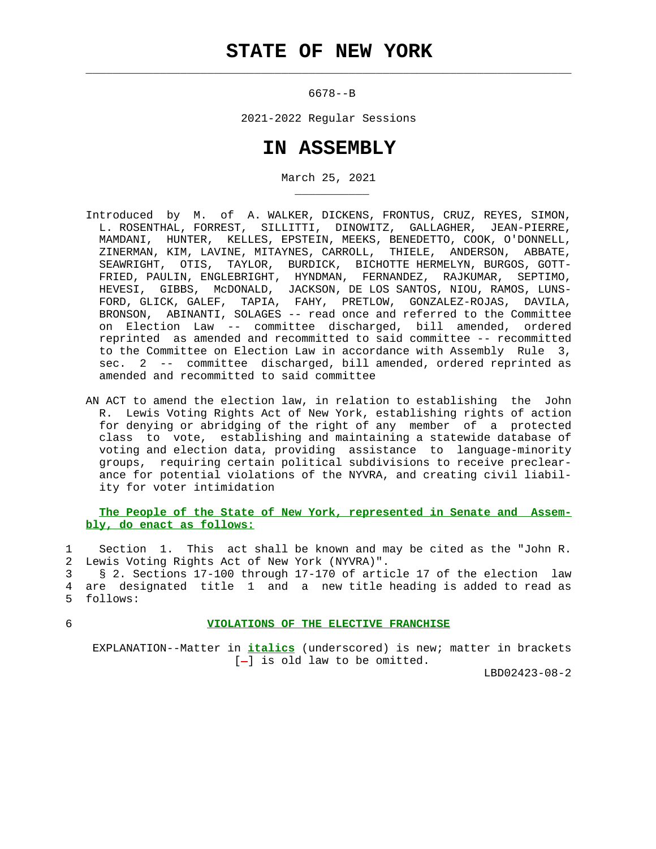$\mathcal{L}_\text{max} = \frac{1}{2} \sum_{i=1}^{n} \frac{1}{2} \sum_{i=1}^{n} \frac{1}{2} \sum_{i=1}^{n} \frac{1}{2} \sum_{i=1}^{n} \frac{1}{2} \sum_{i=1}^{n} \frac{1}{2} \sum_{i=1}^{n} \frac{1}{2} \sum_{i=1}^{n} \frac{1}{2} \sum_{i=1}^{n} \frac{1}{2} \sum_{i=1}^{n} \frac{1}{2} \sum_{i=1}^{n} \frac{1}{2} \sum_{i=1}^{n} \frac{1}{2} \sum_{i=1}^{n} \frac{1$ 

\_\_\_\_\_\_\_\_\_\_\_

6678--B

2021-2022 Regular Sessions

## **IN ASSEMBLY**

March 25, 2021

- Introduced by M. of A. WALKER, DICKENS, FRONTUS, CRUZ, REYES, SIMON, L. ROSENTHAL, FORREST, SILLITTI, DINOWITZ, GALLAGHER, JEAN-PIERRE, MAMDANI, HUNTER, KELLES, EPSTEIN, MEEKS, BENEDETTO, COOK, O'DONNELL, ZINERMAN, KIM, LAVINE, MITAYNES, CARROLL, THIELE, ANDERSON, ABBATE, SEAWRIGHT, OTIS, TAYLOR, BURDICK, BICHOTTE HERMELYN, BURGOS, GOTT- FRIED, PAULIN, ENGLEBRIGHT, HYNDMAN, FERNANDEZ, RAJKUMAR, SEPTIMO, HEVESI, GIBBS, McDONALD, JACKSON, DE LOS SANTOS, NIOU, RAMOS, LUNS- FORD, GLICK, GALEF, TAPIA, FAHY, PRETLOW, GONZALEZ-ROJAS, DAVILA, BRONSON, ABINANTI, SOLAGES -- read once and referred to the Committee on Election Law -- committee discharged, bill amended, ordered reprinted as amended and recommitted to said committee -- recommitted to the Committee on Election Law in accordance with Assembly Rule 3, sec. 2 -- committee discharged, bill amended, ordered reprinted as amended and recommitted to said committee
- AN ACT to amend the election law, in relation to establishing the John R. Lewis Voting Rights Act of New York, establishing rights of action for denying or abridging of the right of any member of a protected class to vote, establishing and maintaining a statewide database of voting and election data, providing assistance to language-minority groups, requiring certain political subdivisions to receive preclear ance for potential violations of the NYVRA, and creating civil liabil ity for voter intimidation

 **The People of the State of New York, represented in Senate and Assem bly, do enact as follows:**

 1 Section 1. This act shall be known and may be cited as the "John R. 2 Lewis Voting Rights Act of New York (NYVRA)".

 3 § 2. Sections 17-100 through 17-170 of article 17 of the election law 4 are designated title 1 and a new title heading is added to read as 5 follows:

## 6 **VIOLATIONS OF THE ELECTIVE FRANCHISE**

 EXPLANATION--Matter in **italics** (underscored) is new; matter in brackets  $[-]$  is old law to be omitted.

LBD02423-08-2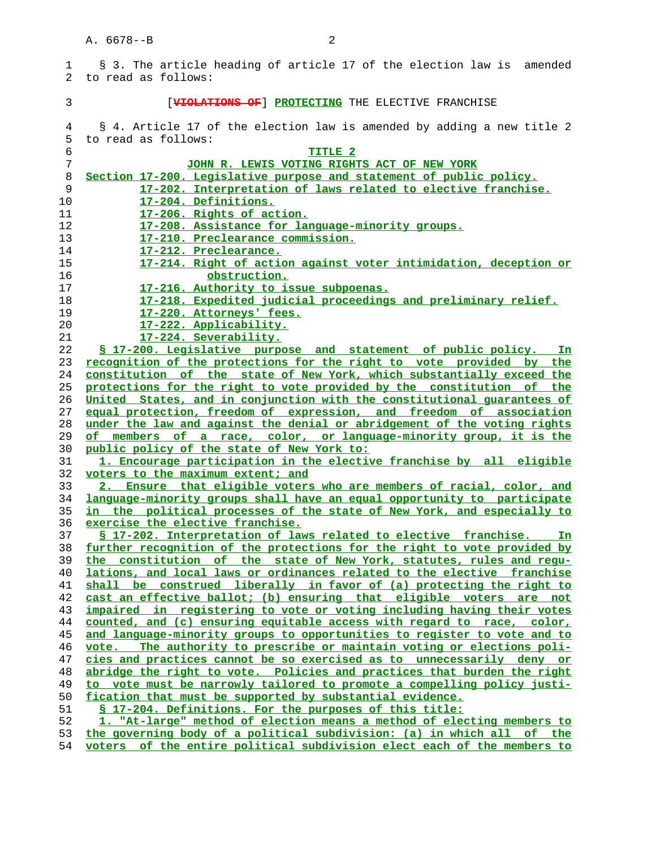1 § 3. The article heading of article 17 of the election law is amended 2 to read as follows: 3 [**VIOLATIONS OF**] **PROTECTING** THE ELECTIVE FRANCHISE 4 § 4. Article 17 of the election law is amended by adding a new title 2 5 to read as follows: **TITLE 2 JOHN R. LEWIS VOTING RIGHTS ACT OF NEW YORK Section 17-200. Legislative purpose and statement of public policy. 17-202. Interpretation of laws related to elective franchise. 17-204. Definitions. 17-206. Rights of action. 17-208. Assistance for language-minority groups. 17-210. Preclearance commission. 17-212. Preclearance. 17-214. Right of action against voter intimidation, deception or obstruction. 17-216. Authority to issue subpoenas. 17-218. Expedited judicial proceedings and preliminary relief. 17-220. Attorneys' fees. 17-222. Applicability. 17-224. Severability. § 17-200. Legislative purpose and statement of public policy. In recognition of the protections for the right to vote provided by the constitution of the state of New York, which substantially exceed the protections for the right to vote provided by the constitution of the United States, and in conjunction with the constitutional guarantees of equal protection, freedom of expression, and freedom of association under the law and against the denial or abridgement of the voting rights of members of a race, color, or language-minority group, it is the public policy of the state of New York to: 1. Encourage participation in the elective franchise by all eligible voters to the maximum extent; and 2. Ensure that eligible voters who are members of racial, color, and language-minority groups shall have an equal opportunity to participate in the political processes of the state of New York, and especially to exercise the elective franchise. § 17-202. Interpretation of laws related to elective franchise. In further recognition of the protections for the right to vote provided by the constitution of the state of New York, statutes, rules and regu- lations, and local laws or ordinances related to the elective franchise shall be construed liberally in favor of (a) protecting the right to cast an effective ballot; (b) ensuring that eligible voters are not impaired in registering to vote or voting including having their votes counted, and (c) ensuring equitable access with regard to race, color, and language-minority groups to opportunities to register to vote and to vote. The authority to prescribe or maintain voting or elections poli- cies and practices cannot be so exercised as to unnecessarily deny or abridge the right to vote. Policies and practices that burden the right to vote must be narrowly tailored to promote a compelling policy justi- fication that must be supported by substantial evidence. § 17-204. Definitions. For the purposes of this title: 1. "At-large" method of election means a method of electing members to the governing body of a political subdivision: (a) in which all of the voters of the entire political subdivision elect each of the members to**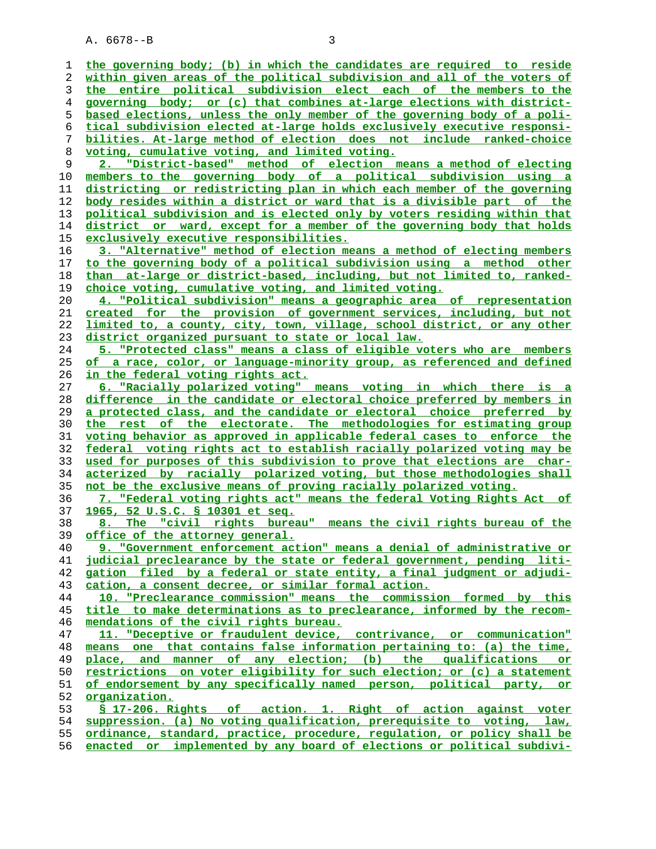**the governing body; (b) in which the candidates are required to reside within given areas of the political subdivision and all of the voters of the entire political subdivision elect each of the members to the governing body; or (c) that combines at-large elections with district- based elections, unless the only member of the governing body of a poli- tical subdivision elected at-large holds exclusively executive responsi- bilities. At-large method of election does not include ranked-choice voting, cumulative voting, and limited voting. 2. "District-based" method of election means a method of electing members to the governing body of a political subdivision using a districting or redistricting plan in which each member of the governing body resides within a district or ward that is a divisible part of the political subdivision and is elected only by voters residing within that district or ward, except for a member of the governing body that holds exclusively executive responsibilities. 3. "Alternative" method of election means a method of electing members to the governing body of a political subdivision using a method other than at-large or district-based, including, but not limited to, ranked- choice voting, cumulative voting, and limited voting. 4. "Political subdivision" means a geographic area of representation created for the provision of government services, including, but not limited to, a county, city, town, village, school district, or any other district organized pursuant to state or local law. 5. "Protected class" means a class of eligible voters who are members of a race, color, or language-minority group, as referenced and defined in the federal voting rights act. 6. "Racially polarized voting" means voting in which there is a difference in the candidate or electoral choice preferred by members in a protected class, and the candidate or electoral choice preferred by the rest of the electorate. The methodologies for estimating group voting behavior as approved in applicable federal cases to enforce the federal voting rights act to establish racially polarized voting may be used for purposes of this subdivision to prove that elections are char- acterized by racially polarized voting, but those methodologies shall not be the exclusive means of proving racially polarized voting. 7. "Federal voting rights act" means the federal Voting Rights Act of 1965, 52 U.S.C. § 10301 et seq. 8. The "civil rights bureau" means the civil rights bureau of the office of the attorney general. 9. "Government enforcement action" means a denial of administrative or judicial preclearance by the state or federal government, pending liti- gation filed by a federal or state entity, a final judgment or adjudi- cation, a consent decree, or similar formal action. 10. "Preclearance commission" means the commission formed by this title to make determinations as to preclearance, informed by the recom- mendations of the civil rights bureau. 11. "Deceptive or fraudulent device, contrivance, or communication" means one that contains false information pertaining to: (a) the time, place, and manner of any election; (b) the qualifications or restrictions on voter eligibility for such election; or (c) a statement of endorsement by any specifically named person, political party, or organization. § 17-206. Rights of action. 1. Right of action against voter suppression. (a) No voting qualification, prerequisite to voting, law, ordinance, standard, practice, procedure, regulation, or policy shall be**

**enacted or implemented by any board of elections or political subdivi-**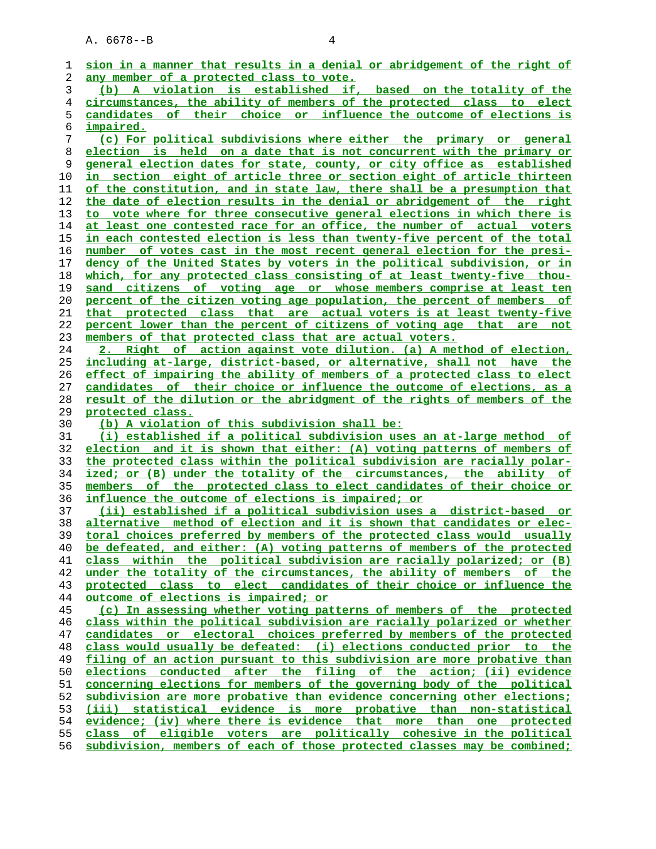| 1        | sion in a manner that results in a denial or abridgement of the right of                                                                       |
|----------|------------------------------------------------------------------------------------------------------------------------------------------------|
| 2        | any member of a protected class to vote.                                                                                                       |
| 3        | (b) A violation is established if, based on the totality of the                                                                                |
| 4        | circumstances, the ability of members of the protected class to elect                                                                          |
| 5        | candidates of their choice or influence the outcome of elections is                                                                            |
| 6        | impaired.                                                                                                                                      |
| 7        | (c) For political subdivisions where either the primary or general                                                                             |
| 8        | election is held on a date that is not concurrent with the primary or                                                                          |
| 9        | general election dates for state, county, or city office as established                                                                        |
| 10       | in section eight of article three or section eight of article thirteen                                                                         |
| 11       | of the constitution, and in state law, there shall be a presumption that                                                                       |
| 12       | the date of election results in the denial or abridgement of the right                                                                         |
| 13       | to vote where for three consecutive general elections in which there is                                                                        |
| 14       | at least one contested race for an office, the number of actual voters                                                                         |
| 15       | in each contested election is less than twenty-five percent of the total                                                                       |
| 16       | number of votes cast in the most recent general election for the presi-                                                                        |
| 17       | dency of the United States by voters in the political subdivision, or in                                                                       |
| 18       | which, for any protected class consisting of at least twenty-five thou-                                                                        |
| 19       | sand citizens of voting age or whose members comprise at least ten                                                                             |
| 20       | percent of the citizen voting age population, the percent of members of                                                                        |
| 21       | that protected class that are actual voters is at least twenty-five                                                                            |
| 22       | percent lower than the percent of citizens of voting age that are not                                                                          |
| 23       | members of that protected class that are actual voters.                                                                                        |
| 24       | 2. Right of action against vote dilution. (a) A method of election,                                                                            |
| 25       | including at-large, district-based, or alternative, shall not have the                                                                         |
| 26       | effect of impairing the ability of members of a protected class to elect                                                                       |
| 27       | <u>candidates of their choice or influence the outcome of elections, as a</u>                                                                  |
| 28       | result of the dilution or the abridgment of the rights of members of the                                                                       |
|          |                                                                                                                                                |
|          |                                                                                                                                                |
| 29       | protected class.                                                                                                                               |
| 30       | (b) A violation of this subdivision shall be:                                                                                                  |
| 31       | (i) established if a political subdivision uses an at-large method of                                                                          |
| 32       | election and it is shown that either: (A) voting patterns of members of                                                                        |
| 33       | the protected class within the political subdivision are racially polar-                                                                       |
| 34       | ized; or (B) under the totality of the circumstances, the ability of                                                                           |
| 35       | members of the protected class to elect candidates of their choice or                                                                          |
| 36       | influence the outcome of elections is impaired; or                                                                                             |
| 37       | <u>(ii) established if a political subdivision uses a district-based or</u>                                                                    |
| 38<br>39 | <u>alternative method of election and it is shown that candidates or elec-</u>                                                                 |
| 40       | toral choices preferred by members of the protected class would usually                                                                        |
|          | be defeated, and either: (A) voting patterns of members of the protected                                                                       |
| 41       | class within the political subdivision are racially polarized; or (B)                                                                          |
| 42       | under the totality of the circumstances, the ability of members of the                                                                         |
| 43       | protected class to elect candidates of their choice or influence the                                                                           |
| 44       | outcome of elections is impaired; or                                                                                                           |
| 45       | (c) In assessing whether voting patterns of members of the protected                                                                           |
| 46       | class within the political subdivision are racially polarized or whether                                                                       |
| 47<br>48 | candidates or electoral choices preferred by members of the protected<br>class would usually be defeated: (i) elections conducted prior to the |
|          |                                                                                                                                                |
| 49       | filing of an action pursuant to this subdivision are more probative than                                                                       |
| 50<br>51 | elections conducted after the filing of the action; (ii) evidence<br>concerning elections for members of the governing body of the political   |
|          |                                                                                                                                                |
| 52       | subdivision are more probative than evidence concerning other elections;<br>(iii)                                                              |
| 53<br>54 | statistical evidence is more probative than non-statistical                                                                                    |
| 55       | evidence; (iv) where there is evidence that more than one protected<br>class of eligible voters are politically cohesive in the political      |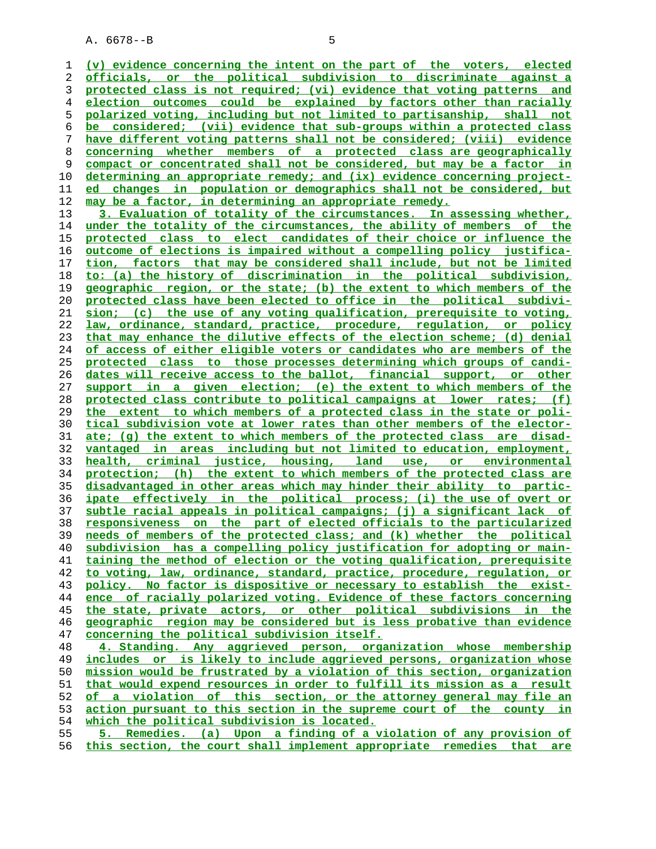**(v) evidence concerning the intent on the part of the voters, elected officials, or the political subdivision to discriminate against a protected class is not required; (vi) evidence that voting patterns and election outcomes could be explained by factors other than racially polarized voting, including but not limited to partisanship, shall not be considered; (vii) evidence that sub-groups within a protected class have different voting patterns shall not be considered; (viii) evidence concerning whether members of a protected class are geographically compact or concentrated shall not be considered, but may be a factor in determining an appropriate remedy; and (ix) evidence concerning project- ed changes in population or demographics shall not be considered, but may be a factor, in determining an appropriate remedy. 3. Evaluation of totality of the circumstances. In assessing whether, under the totality of the circumstances, the ability of members of the protected class to elect candidates of their choice or influence the outcome of elections is impaired without a compelling policy justifica- tion, factors that may be considered shall include, but not be limited to: (a) the history of discrimination in the political subdivision, geographic region, or the state; (b) the extent to which members of the protected class have been elected to office in the political subdivi- sion; (c) the use of any voting qualification, prerequisite to voting, law, ordinance, standard, practice, procedure, regulation, or policy that may enhance the dilutive effects of the election scheme; (d) denial of access of either eligible voters or candidates who are members of the protected class to those processes determining which groups of candi- dates will receive access to the ballot, financial support, or other support in a given election; (e) the extent to which members of the protected class contribute to political campaigns at lower rates; (f) the extent to which members of a protected class in the state or poli- tical subdivision vote at lower rates than other members of the elector- ate; (g) the extent to which members of the protected class are disad- vantaged in areas including but not limited to education, employment, health, criminal justice, housing, land use, or environmental protection; (h) the extent to which members of the protected class are disadvantaged in other areas which may hinder their ability to partic- ipate effectively in the political process; (i) the use of overt or subtle racial appeals in political campaigns; (j) a significant lack of responsiveness on the part of elected officials to the particularized needs of members of the protected class; and (k) whether the political subdivision has a compelling policy justification for adopting or main- taining the method of election or the voting qualification, prerequisite to voting, law, ordinance, standard, practice, procedure, regulation, or policy. No factor is dispositive or necessary to establish the exist- ence of racially polarized voting. Evidence of these factors concerning the state, private actors, or other political subdivisions in the geographic region may be considered but is less probative than evidence concerning the political subdivision itself. 4. Standing. Any aggrieved person, organization whose membership includes or is likely to include aggrieved persons, organization whose mission would be frustrated by a violation of this section, organization that would expend resources in order to fulfill its mission as a result of a violation of this section, or the attorney general may file an action pursuant to this section in the supreme court of the county in which the political subdivision is located.**

**5. Remedies. (a) Upon a finding of a violation of any provision of this section, the court shall implement appropriate remedies that are**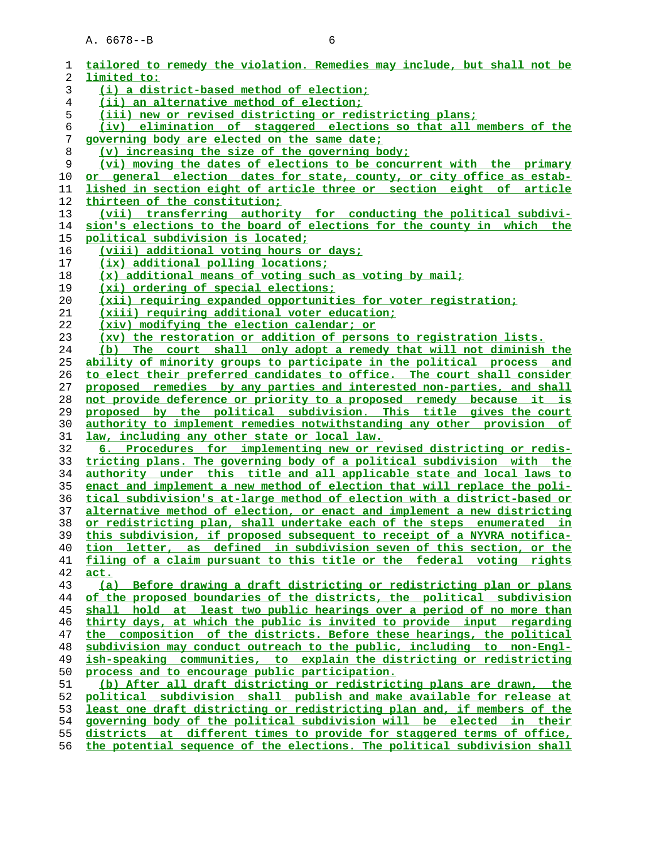| T        | tailored to remedy the violation. Remedies may include, but shall not be                                            |
|----------|---------------------------------------------------------------------------------------------------------------------|
| 2        | limited to:                                                                                                         |
| 3        | (i) a district-based method of election;                                                                            |
| 4        | (ii) an alternative method of election;                                                                             |
| 5        | (iii) new or revised districting or redistricting plans;                                                            |
| 6        | (iv) elimination of staggered elections so that all members of the                                                  |
| 7        | governing body are elected on the same date;                                                                        |
| 8        | (v) increasing the size of the governing body;                                                                      |
| 9        | (vi) moving the dates of elections to be concurrent with the primary                                                |
| 10       | or general election dates for state, county, or city office as estab-                                               |
| 11       | lished in section eight of article three or section eight of article                                                |
| 12       | thirteen of the constitution;                                                                                       |
| 13       | (vii) transferring authority for conducting the political subdivi-                                                  |
| 14       | sion's elections to the board of elections for the county in which the                                              |
| 15       | <u>political subdivision is located;</u>                                                                            |
| 16       | <u>(viii) additional voting hours or days;</u>                                                                      |
| 17       | (ix) additional polling locations;                                                                                  |
| 18       | (x) additional means of voting such as voting by mail;                                                              |
| 19       | (xi) ordering of special elections;                                                                                 |
| 20       | (xii) requiring expanded opportunities for voter registration;                                                      |
| 21       | (xiii) requiring additional voter education;                                                                        |
| 22       | (xiv) modifying the election calendar; or                                                                           |
| 23       | (xv) the restoration or addition of persons to registration lists.                                                  |
| 24       | The court shall only adopt a remedy that will not diminish the<br>(b)                                               |
| 25       | ability of minority groups to participate in the political process and                                              |
| 26       | to elect their preferred candidates to office. The court shall consider                                             |
| 27       | proposed remedies by any parties and interested non-parties, and shall                                              |
| 28       | not provide deference or priority to a proposed remedy because it is                                                |
| 29       | proposed by the political subdivision. This title gives the court                                                   |
| 30       | authority to implement remedies notwithstanding any other provision of                                              |
| 31       | law, including any other state or local law.<br>6. Procedures for implementing new or revised districting or redis- |
| 32       | tricting plans. The governing body of a political subdivision with the                                              |
| 33<br>34 | authority under this title and all applicable state and local laws to                                               |
| 35       | enact and implement a new method of election that will replace the poli-                                            |
| 36       | tical subdivision's at-large method of election with a district-based or                                            |
| 37       | alternative method of election, or enact and implement a new districting                                            |
| 38       | or redistricting plan, shall undertake each of the steps enumerated in                                              |
|          | 39 this subdivision, if proposed subsequent to receipt of a NYVRA notifica-                                         |
| 40       | tion letter, as defined in subdivision seven of this section, or the                                                |
| 41       | filing of a claim pursuant to this title or the federal voting rights                                               |
| 42       | act.                                                                                                                |
| 43       | (a) Before drawing a draft districting or redistricting plan or plans                                               |
| 44       | of the proposed boundaries of the districts, the political subdivision                                              |
| 45       | shall hold at least two public hearings over a period of no more than                                               |
| 46       | thirty days, at which the public is invited to provide input regarding                                              |
| 47       | the composition of the districts. Before these hearings, the political                                              |
| 48       | subdivision may conduct outreach to the public, including to non-Engl-                                              |
| 49       | ish-speaking communities, to explain the districting or redistricting                                               |
| 50       | process and to encourage public participation.                                                                      |
| 51       | (b) After all draft districting or redistricting plans are drawn, the                                               |
| 52       | political subdivision shall publish and make available for release at                                               |
| 53       | least one draft districting or redistricting plan and, if members of the                                            |
| 54       | governing body of the political subdivision will be elected in their                                                |
| 55       | districts at different times to provide for staggered terms of office,                                              |
| 56       | the potential sequence of the elections. The political subdivision shall                                            |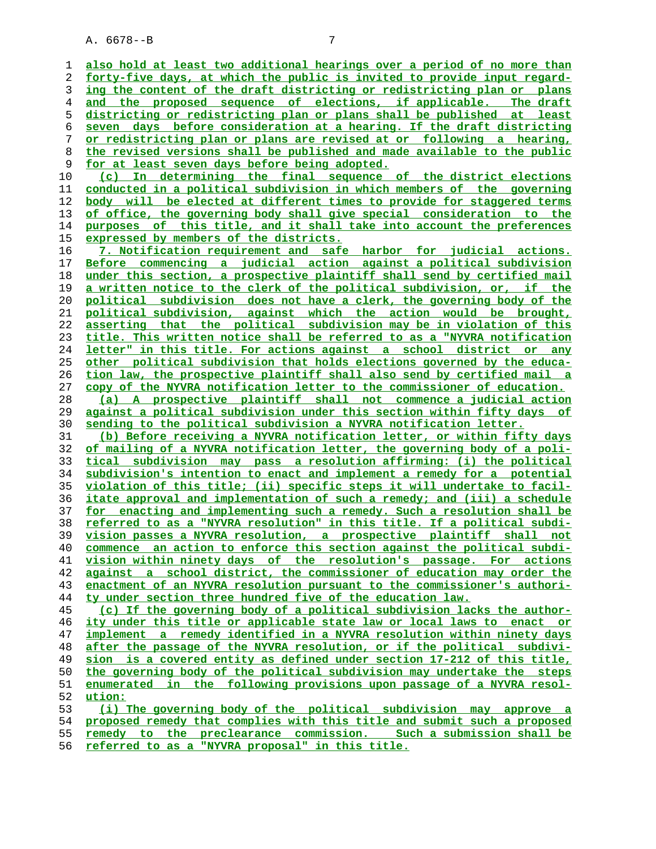**also hold at least two additional hearings over a period of no more than forty-five days, at which the public is invited to provide input regard- ing the content of the draft districting or redistricting plan or plans and the proposed sequence of elections, if applicable. The draft districting or redistricting plan or plans shall be published at least seven days before consideration at a hearing. If the draft districting or redistricting plan or plans are revised at or following a hearing,**

**the revised versions shall be published and made available to the public for at least seven days before being adopted.**

**(c) In determining the final sequence of the district elections conducted in a political subdivision in which members of the governing body will be elected at different times to provide for staggered terms of office, the governing body shall give special consideration to the purposes of this title, and it shall take into account the preferences expressed by members of the districts.**

**7. Notification requirement and safe harbor for judicial actions. Before commencing a judicial action against a political subdivision under this section, a prospective plaintiff shall send by certified mail a written notice to the clerk of the political subdivision, or, if the political subdivision does not have a clerk, the governing body of the political subdivision, against which the action would be brought, asserting that the political subdivision may be in violation of this title. This written notice shall be referred to as a "NYVRA notification letter" in this title. For actions against a school district or any other political subdivision that holds elections governed by the educa- tion law, the prospective plaintiff shall also send by certified mail a copy of the NYVRA notification letter to the commissioner of education. (a) A prospective plaintiff shall not commence a judicial action**

**against a political subdivision under this section within fifty days of sending to the political subdivision a NYVRA notification letter.**

**(b) Before receiving a NYVRA notification letter, or within fifty days of mailing of a NYVRA notification letter, the governing body of a poli- tical subdivision may pass a resolution affirming: (i) the political subdivision's intention to enact and implement a remedy for a potential violation of this title; (ii) specific steps it will undertake to facil- itate approval and implementation of such a remedy; and (iii) a schedule for enacting and implementing such a remedy. Such a resolution shall be referred to as a "NYVRA resolution" in this title. If a political subdi- vision passes a NYVRA resolution, a prospective plaintiff shall not commence an action to enforce this section against the political subdi- vision within ninety days of the resolution's passage. For actions against a school district, the commissioner of education may order the enactment of an NYVRA resolution pursuant to the commissioner's authori- ty under section three hundred five of the education law.**

**(c) If the governing body of a political subdivision lacks the author- ity under this title or applicable state law or local laws to enact or implement a remedy identified in a NYVRA resolution within ninety days after the passage of the NYVRA resolution, or if the political subdivi- sion is a covered entity as defined under section 17-212 of this title, the governing body of the political subdivision may undertake the steps enumerated in the following provisions upon passage of a NYVRA resol- ution: (i) The governing body of the political subdivision may approve a**

**proposed remedy that complies with this title and submit such a proposed remedy to the preclearance commission. Such a submission shall be**

**referred to as a "NYVRA proposal" in this title.**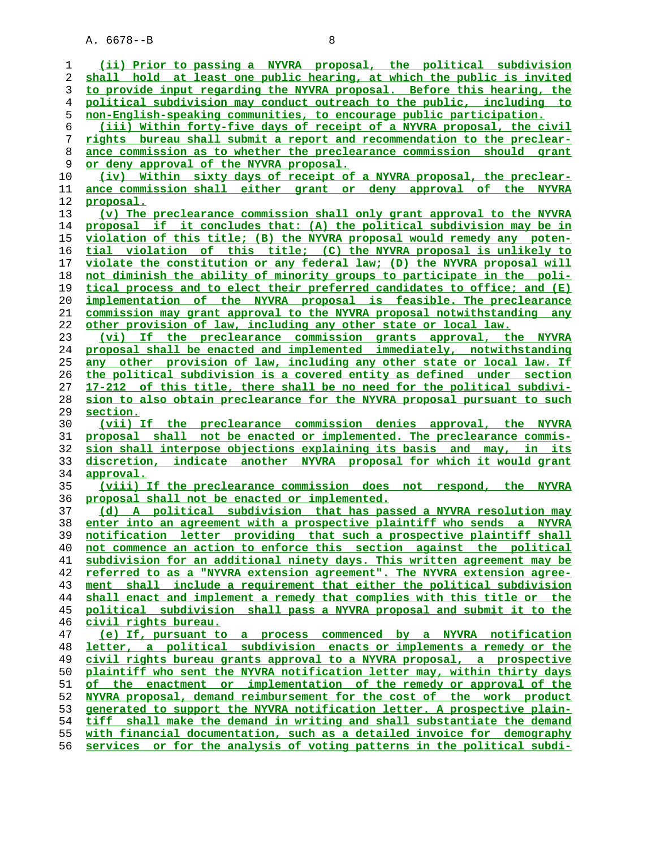**(ii) Prior to passing a NYVRA proposal, the political subdivision shall hold at least one public hearing, at which the public is invited to provide input regarding the NYVRA proposal. Before this hearing, the political subdivision may conduct outreach to the public, including to non-English-speaking communities, to encourage public participation. (iii) Within forty-five days of receipt of a NYVRA proposal, the civil rights bureau shall submit a report and recommendation to the preclear- ance commission as to whether the preclearance commission should grant or deny approval of the NYVRA proposal. (iv) Within sixty days of receipt of a NYVRA proposal, the preclear- ance commission shall either grant or deny approval of the NYVRA proposal. (v) The preclearance commission shall only grant approval to the NYVRA proposal if it concludes that: (A) the political subdivision may be in violation of this title; (B) the NYVRA proposal would remedy any poten- tial violation of this title; (C) the NYVRA proposal is unlikely to violate the constitution or any federal law; (D) the NYVRA proposal will not diminish the ability of minority groups to participate in the poli- tical process and to elect their preferred candidates to office; and (E) implementation of the NYVRA proposal is feasible. The preclearance commission may grant approval to the NYVRA proposal notwithstanding any other provision of law, including any other state or local law. (vi) If the preclearance commission grants approval, the NYVRA proposal shall be enacted and implemented immediately, notwithstanding any other provision of law, including any other state or local law. If the political subdivision is a covered entity as defined under section 17-212 of this title, there shall be no need for the political subdivi- sion to also obtain preclearance for the NYVRA proposal pursuant to such section. (vii) If the preclearance commission denies approval, the NYVRA proposal shall not be enacted or implemented. The preclearance commis- sion shall interpose objections explaining its basis and may, in its discretion, indicate another NYVRA proposal for which it would grant approval. (viii) If the preclearance commission does not respond, the NYVRA proposal shall not be enacted or implemented. (d) A political subdivision that has passed a NYVRA resolution may enter into an agreement with a prospective plaintiff who sends a NYVRA notification letter providing that such a prospective plaintiff shall not commence an action to enforce this section against the political subdivision for an additional ninety days. This written agreement may be referred to as a "NYVRA extension agreement". The NYVRA extension agree- ment shall include a requirement that either the political subdivision shall enact and implement a remedy that complies with this title or the political subdivision shall pass a NYVRA proposal and submit it to the civil rights bureau. (e) If, pursuant to a process commenced by a NYVRA notification letter, a political subdivision enacts or implements a remedy or the civil rights bureau grants approval to a NYVRA proposal, a prospective plaintiff who sent the NYVRA notification letter may, within thirty days of the enactment or implementation of the remedy or approval of the NYVRA proposal, demand reimbursement for the cost of the work product generated to support the NYVRA notification letter. A prospective plain- tiff shall make the demand in writing and shall substantiate the demand with financial documentation, such as a detailed invoice for demography**

**services or for the analysis of voting patterns in the political subdi-**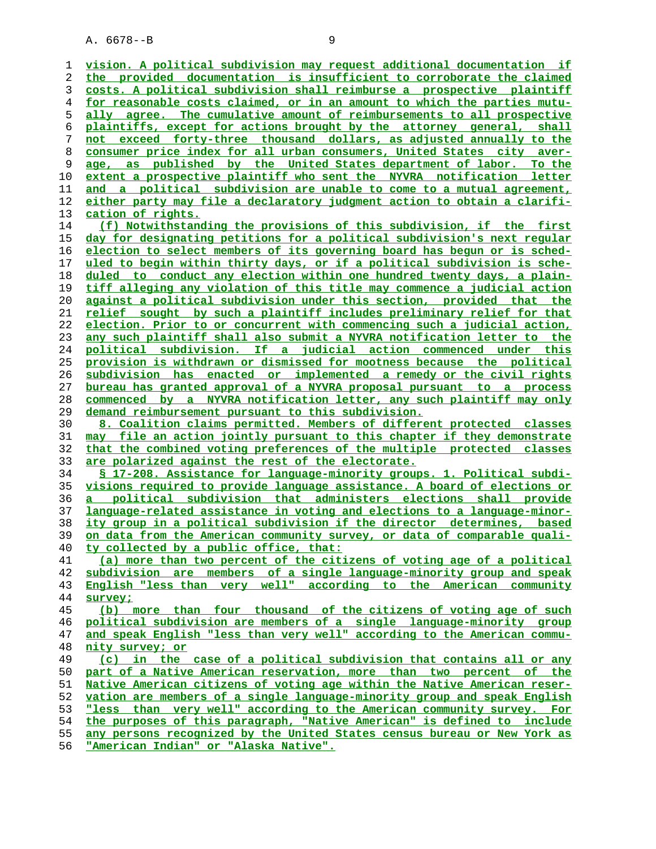A. 6678 - - B 9

**vision. A political subdivision may request additional documentation if the provided documentation is insufficient to corroborate the claimed costs. A political subdivision shall reimburse a prospective plaintiff for reasonable costs claimed, or in an amount to which the parties mutu- ally agree. The cumulative amount of reimbursements to all prospective plaintiffs, except for actions brought by the attorney general, shall not exceed forty-three thousand dollars, as adjusted annually to the consumer price index for all urban consumers, United States city aver- age, as published by the United States department of labor. To the extent a prospective plaintiff who sent the NYVRA notification letter and a political subdivision are unable to come to a mutual agreement, either party may file a declaratory judgment action to obtain a clarifi- cation of rights. (f) Notwithstanding the provisions of this subdivision, if the first day for designating petitions for a political subdivision's next regular election to select members of its governing board has begun or is sched- uled to begin within thirty days, or if a political subdivision is sche- duled to conduct any election within one hundred twenty days, a plain- tiff alleging any violation of this title may commence a judicial action against a political subdivision under this section, provided that the relief sought by such a plaintiff includes preliminary relief for that election. Prior to or concurrent with commencing such a judicial action, any such plaintiff shall also submit a NYVRA notification letter to the political subdivision. If a judicial action commenced under this provision is withdrawn or dismissed for mootness because the political subdivision has enacted or implemented a remedy or the civil rights bureau has granted approval of a NYVRA proposal pursuant to a process commenced by a NYVRA notification letter, any such plaintiff may only demand reimbursement pursuant to this subdivision. 8. Coalition claims permitted. Members of different protected classes may file an action jointly pursuant to this chapter if they demonstrate that the combined voting preferences of the multiple protected classes are polarized against the rest of the electorate. § 17-208. Assistance for language-minority groups. 1. Political subdi- visions required to provide language assistance. A board of elections or a political subdivision that administers elections shall provide language-related assistance in voting and elections to a language-minor- ity group in a political subdivision if the director determines, based on data from the American community survey, or data of comparable quali- ty collected by a public office, that: (a) more than two percent of the citizens of voting age of a political subdivision are members of a single language-minority group and speak English "less than very well" according to the American community survey; (b) more than four thousand of the citizens of voting age of such political subdivision are members of a single language-minority group and speak English "less than very well" according to the American commu- nity survey; or (c) in the case of a political subdivision that contains all or any part of a Native American reservation, more than two percent of the Native American citizens of voting age within the Native American reser- vation are members of a single language-minority group and speak English "less than very well" according to the American community survey. For the purposes of this paragraph, "Native American" is defined to include any persons recognized by the United States census bureau or New York as "American Indian" or "Alaska Native".**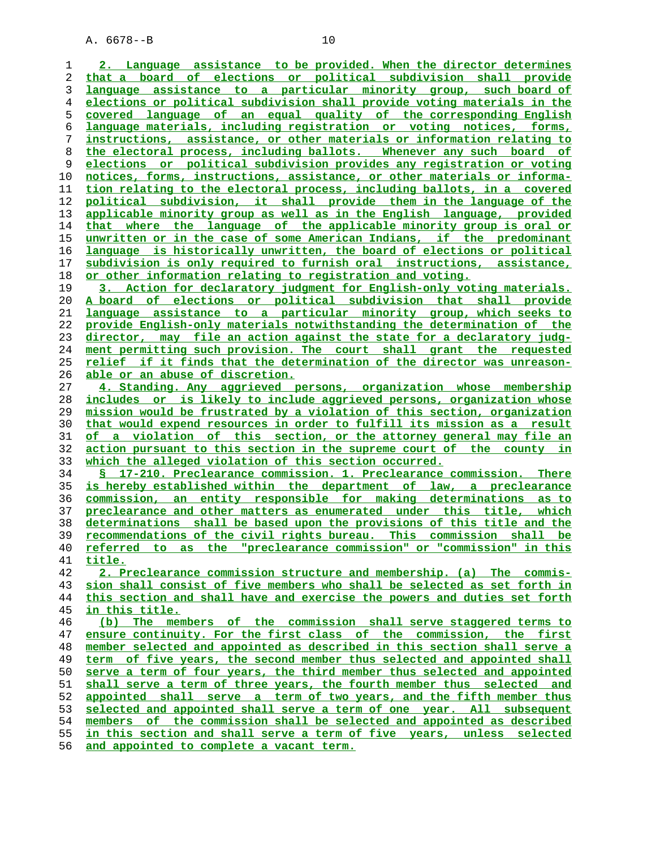**2. Language assistance to be provided. When the director determines that a board of elections or political subdivision shall provide language assistance to a particular minority group, such board of elections or political subdivision shall provide voting materials in the covered language of an equal quality of the corresponding English language materials, including registration or voting notices, forms, instructions, assistance, or other materials or information relating to the electoral process, including ballots. Whenever any such board of elections or political subdivision provides any registration or voting notices, forms, instructions, assistance, or other materials or informa- tion relating to the electoral process, including ballots, in a covered political subdivision, it shall provide them in the language of the applicable minority group as well as in the English language, provided that where the language of the applicable minority group is oral or unwritten or in the case of some American Indians, if the predominant language is historically unwritten, the board of elections or political subdivision is only required to furnish oral instructions, assistance, or other information relating to registration and voting. 3. Action for declaratory judgment for English-only voting materials. A board of elections or political subdivision that shall provide language assistance to a particular minority group, which seeks to provide English-only materials notwithstanding the determination of the director, may file an action against the state for a declaratory judg- ment permitting such provision. The court shall grant the requested relief if it finds that the determination of the director was unreason- able or an abuse of discretion. 4. Standing. Any aggrieved persons, organization whose membership includes or is likely to include aggrieved persons, organization whose mission would be frustrated by a violation of this section, organization that would expend resources in order to fulfill its mission as a result of a violation of this section, or the attorney general may file an action pursuant to this section in the supreme court of the county in which the alleged violation of this section occurred. § 17-210. Preclearance commission. 1. Preclearance commission. There is hereby established within the department of law, a preclearance commission, an entity responsible for making determinations as to preclearance and other matters as enumerated under this title, which determinations shall be based upon the provisions of this title and the recommendations of the civil rights bureau. This commission shall be referred to as the "preclearance commission" or "commission" in this title.**

**2. Preclearance commission structure and membership. (a) The commis- sion shall consist of five members who shall be selected as set forth in this section and shall have and exercise the powers and duties set forth in this title.**

**(b) The members of the commission shall serve staggered terms to ensure continuity. For the first class of the commission, the first member selected and appointed as described in this section shall serve a term of five years, the second member thus selected and appointed shall serve a term of four years, the third member thus selected and appointed shall serve a term of three years, the fourth member thus selected and appointed shall serve a term of two years, and the fifth member thus selected and appointed shall serve a term of one year. All subsequent members of the commission shall be selected and appointed as described in this section and shall serve a term of five years, unless selected and appointed to complete a vacant term.**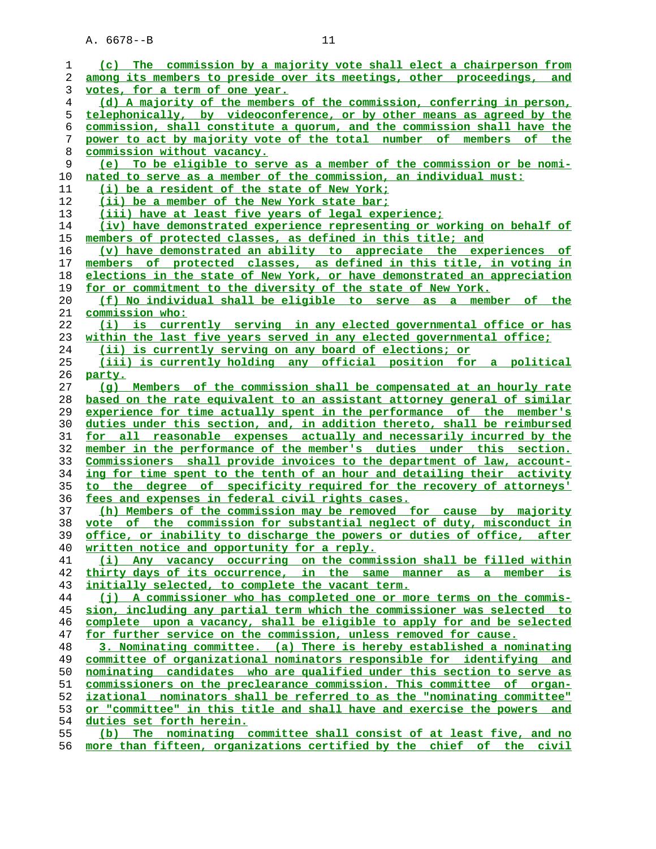| 1  | (c) The commission by a majority vote shall elect a chairperson from            |
|----|---------------------------------------------------------------------------------|
| 2  | among its members to preside over its meetings, other proceedings, and          |
| 3  | votes, for a term of one year.                                                  |
| 4  | (d) A majority of the members of the commission, conferring in person,          |
| 5  | telephonically, by videoconference, or by other means as agreed by the          |
| 6  | commission, shall constitute a quorum, and the commission shall have the        |
| 7  | power to act by majority vote of the total number of members of the             |
| 8  | <u>commission without vacancy.</u>                                              |
| 9  | (e) To be eligible to serve as a member of the commission or be nomi-           |
| 10 | nated to serve as a member of the commission, an individual must:               |
| 11 | (i) be a resident of the state of New York;                                     |
| 12 | (ii) be a member of the New York state bar;                                     |
| 13 | (iii) have at least five years of legal experience;                             |
| 14 | (iv) have demonstrated experience representing or working on behalf of          |
| 15 | members of protected classes, as defined in this title; and                     |
| 16 | (v) have demonstrated an ability to appreciate the experiences of               |
| 17 | members of protected classes, as defined in this title, in voting in            |
| 18 | elections in the state of New York, or have demonstrated an appreciation        |
| 19 | for or commitment to the diversity of the state of New York.                    |
| 20 | (f) No individual shall be eligible to serve as a member of the                 |
| 21 | commission who:                                                                 |
| 22 | (i) is currently serving in any elected governmental office or has              |
| 23 | <u>within the last five years served in any elected governmental office;</u>    |
| 24 | (ii) is currently serving on any board of elections; or                         |
| 25 | (iii) is currently holding any official position for a political                |
| 26 | party.                                                                          |
| 27 | (q) Members of the commission shall be compensated at an hourly rate            |
| 28 | based on the rate equivalent to an assistant attorney general of similar        |
| 29 | experience for time actually spent in the performance of the member's           |
| 30 | <u>duties under this section, and, in addition thereto, shall be reimbursed</u> |
| 31 | for all reasonable expenses actually and necessarily incurred by the            |
| 32 | member in the performance of the member's duties under this section.            |
| 33 | Commissioners shall provide invoices to the department of law, account-         |
| 34 | ing for time spent to the tenth of an hour and detailing their activity         |
| 35 | to the degree of specificity required for the recovery of attorneys'            |
| 36 | fees and expenses in federal civil rights cases.                                |
| 37 | (h) Members of the commission may be removed for cause by majority              |
| 38 | vote of the commission for substantial neglect of duty, misconduct in           |
| 39 | office, or inability to discharge the powers or duties of office, after         |
| 40 | written notice and opportunity for a reply.                                     |
| 41 | (i) Any vacancy occurring on the commission shall be filled within              |
| 42 | thirty days of its occurrence, in the same manner as a member is                |
| 43 | initially selected, to complete the vacant term.                                |
| 44 | (j) A commissioner who has completed one or more terms on the commis-           |
| 45 | sion, including any partial term which the commissioner was selected to         |
| 46 | complete upon a vacancy, shall be eligible to apply for and be selected         |
| 47 | for further service on the commission, unless removed for cause.                |
| 48 | 3. Nominating committee. (a) There is hereby established a nominating           |
| 49 | committee of organizational nominators responsible for identifying and          |
| 50 | nominating candidates who are qualified under this section to serve as          |
| 51 | commissioners on the preclearance commission. This committee of organ-          |
| 52 | izational nominators shall be referred to as the "nominating committee"         |
| 53 | or "committee" in this title and shall have and exercise the powers and         |
| 54 | duties set forth herein.                                                        |
| 55 | (b) The nominating committee shall consist of at least five, and no             |
|    |                                                                                 |

**more than fifteen, organizations certified by the chief of the civil**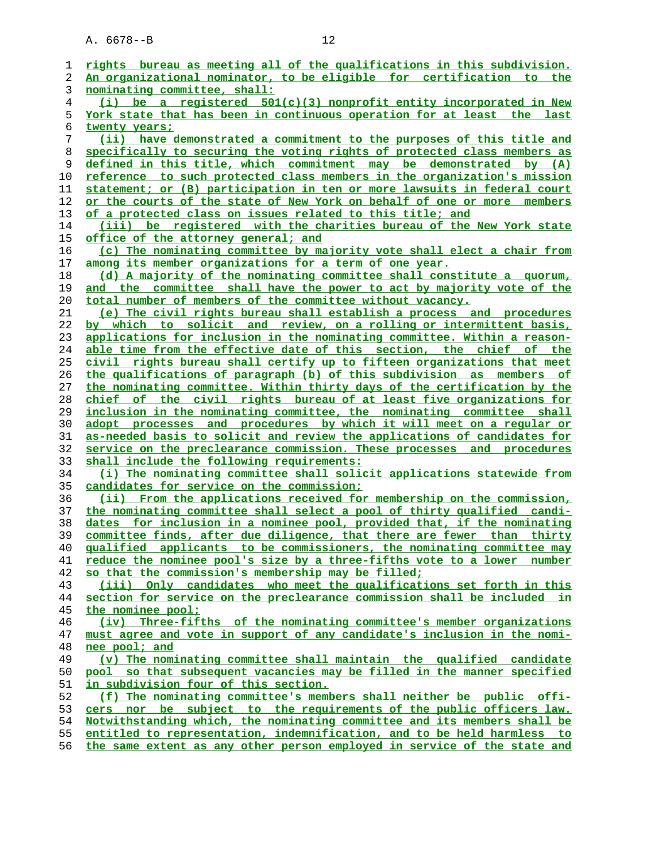| 1  | rights bureau as meeting all of the qualifications in this subdivision.   |
|----|---------------------------------------------------------------------------|
| 2  | An organizational nominator, to be eligible for certification to the      |
| 3  | nominating committee, shall:                                              |
| 4  | (i) be a registered $501(c)(3)$ nonprofit entity incorporated in New      |
| 5  | York state that has been in continuous operation for at least the last    |
| б  | twenty years;                                                             |
| 7  | (ii) have demonstrated a commitment to the purposes of this title and     |
| 8  | specifically to securing the voting rights of protected class members as  |
| 9  | defined in this title, which commitment may be demonstrated by (A)        |
| 10 | reference to such protected class members in the organization's mission   |
| 11 | statement; or (B) participation in ten or more lawsuits in federal court  |
| 12 | or the courts of the state of New York on behalf of one or more members   |
| 13 | of a protected class on issues related to this title; and                 |
| 14 | (iii) be registered with the charities bureau of the New York state       |
| 15 | office of the attorney general; and                                       |
|    |                                                                           |
| 16 | (c) The nominating committee by majority vote shall elect a chair from    |
| 17 | among its member organizations for a term of one year.                    |
| 18 | (d) A majority of the nominating committee shall constitute a guorum,     |
| 19 | and the committee shall have the power to act by majority vote of the     |
| 20 | total number of members of the committee without vacancy.                 |
| 21 | (e) The civil rights bureau shall establish a process and procedures      |
| 22 | by which to solicit and review, on a rolling or intermittent basis,       |
| 23 | applications for inclusion in the nominating committee. Within a reason-  |
| 24 | able time from the effective date of this section, the chief of the       |
| 25 | civil rights bureau shall certify up to fifteen organizations that meet   |
| 26 | the qualifications of paragraph (b) of this subdivision as members of     |
| 27 | the nominating committee. Within thirty days of the certification by the  |
| 28 | chief of the civil rights bureau of at least five organizations for       |
| 29 | inclusion in the nominating committee, the nominating committee shall     |
| 30 | adopt processes and procedures by which it will meet on a regular or      |
| 31 | as-needed basis to solicit and review the applications of candidates for  |
| 32 | service on the preclearance commission. These processes and procedures    |
| 33 | shall include the following requirements:                                 |
| 34 | (i) The nominating committee shall solicit applications statewide from    |
| 35 | candidates for service on the commission;                                 |
| 36 | (ii) From the applications received for membership on the commission,     |
| 37 | the nominating committee shall select a pool of thirty qualified candi-   |
| 38 | dates for inclusion in a nominee pool, provided that, if the nominating   |
| 39 | committee finds, after due diligence, that there are fewer than<br>thirty |
| 40 | qualified applicants to be commissioners, the nominating committee may    |
| 41 | reduce the nominee pool's size by a three-fifths vote to a lower number   |
| 42 | so that the commission's membership may be filled;                        |
| 43 | (iii) Only candidates who meet the qualifications set forth in this       |
| 44 | section for service on the preclearance commission shall be included in   |
| 45 | the nominee pool;                                                         |
| 46 | (iv) Three-fifths of the nominating committee's member organizations      |
| 47 | must agree and vote in support of any candidate's inclusion in the nomi-  |
| 48 | nee pool; and                                                             |
| 49 | (v) The nominating committee shall maintain the qualified candidate       |
| 50 | pool so that subsequent vacancies may be filled in the manner specified   |
| 51 | in subdivision four of this section.                                      |
| 52 | (f) The nominating committee's members shall neither be public offi-      |
| 53 | cers nor be subject to the requirements of the public officers law.       |
| 54 | Notwithstanding which, the nominating committee and its members shall be  |
| 55 | entitled to representation, indemnification, and to be held harmless to   |
| 56 | the same extent as any other person employed in service of the state and  |
|    |                                                                           |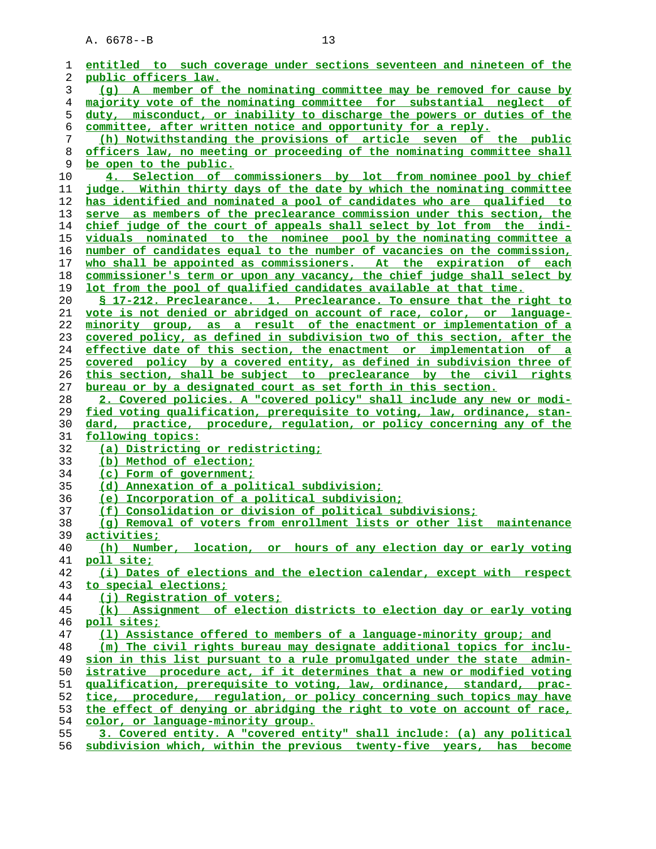| 1        | entitled to such coverage under sections seventeen and nineteen of the         |
|----------|--------------------------------------------------------------------------------|
| 2        | public officers law.                                                           |
| 3        | (q) A member of the nominating committee may be removed for cause by           |
| 4        | majority vote of the nominating committee for substantial neglect of           |
| 5        | <u>duty, misconduct, or inability to discharge the powers or duties of the</u> |
| 6        | committee, after written notice and opportunity for a reply.                   |
| 7        | (h) Notwithstanding the provisions of article seven of the public              |
| 8        | officers law, no meeting or proceeding of the nominating committee shall       |
| 9        | be open to the public.                                                         |
| 10       | 4. Selection of commissioners by lot from nominee pool by chief                |
| 11       | judge. Within thirty days of the date by which the nominating committee        |
| 12       | has identified and nominated a pool of candidates who are qualified to         |
| 13       | serve as members of the preclearance commission under this section, the        |
| 14       | chief judge of the court of appeals shall select by lot from the indi-         |
| 15       | viduals nominated to the nominee pool by the nominating committee a            |
| 16       | number of candidates equal to the number of vacancies on the commission,       |
| 17       | who shall be appointed as commissioners. At the expiration of each             |
| 18       | commissioner's term or upon any vacancy, the chief judge shall select by       |
| 19       | lot from the pool of qualified candidates available at that time.              |
| 20       | S 17-212. Preclearance. 1. Preclearance. To ensure that the right to           |
| 21       | vote is not denied or abridged on account of race, color, or language-         |
| 22       | minority group, as a result of the enactment or implementation of a            |
| 23       | covered policy, as defined in subdivision two of this section, after the       |
| 24       | effective date of this section, the enactment or implementation of a           |
| 25       | covered policy by a covered entity, as defined in subdivision three of         |
| 26       | this section, shall be subject to preclearance by the civil rights             |
| 27       | bureau or by a designated court as set forth in this section.                  |
| 28       | 2. Covered policies. A "covered policy" shall include any new or modi-         |
| 29       | fied voting qualification, prerequisite to voting, law, ordinance, stan-       |
| 30<br>31 | dard, practice, procedure, regulation, or policy concerning any of the         |
| 32       | following topics:<br>(a) Districting or redistricting;                         |
| 33       | (b) Method of election;                                                        |
| 34       | (c) Form of government;                                                        |
| 35       | (d) Annexation of a political subdivision;                                     |
| 36       | (e) Incorporation of a political subdivision;                                  |
| 37       | (f) Consolidation or division of political subdivisions;                       |
| 38       | (q) Removal of voters from enrollment lists or other list maintenance          |
| 39       | activities;                                                                    |
| 40       | (h) Number, location, or hours of any election day or early voting             |
| 41       | poll site;                                                                     |
| 42       | (i) Dates of elections and the election calendar, except with respect          |
| 43       | to special elections;                                                          |
| 44       | (j) Registration of voters;                                                    |
| 45       | (k) Assignment of election districts to election day or early voting           |
| 46       | poll sites;                                                                    |
| 47       | (1) Assistance offered to members of a language-minority group; and            |
| 48       | (m) The civil rights bureau may designate additional topics for inclu-         |
| 49       | sion in this list pursuant to a rule promulgated under the state admin-        |
| 50       | istrative procedure act, if it determines that a new or modified voting        |
| 51       | qualification, prerequisite to voting, law, ordinance, standard, prac-         |
| 52       | tice, procedure, requlation, or policy concerning such topics may have         |
| 53       | the effect of denying or abridging the right to vote on account of race,       |
| 54       | color, or language-minority group.                                             |
| 55       | 3. Covered entity. A "covered entity" shall include: (a) any political         |
|          |                                                                                |

**subdivision which, within the previous twenty-five years, has become**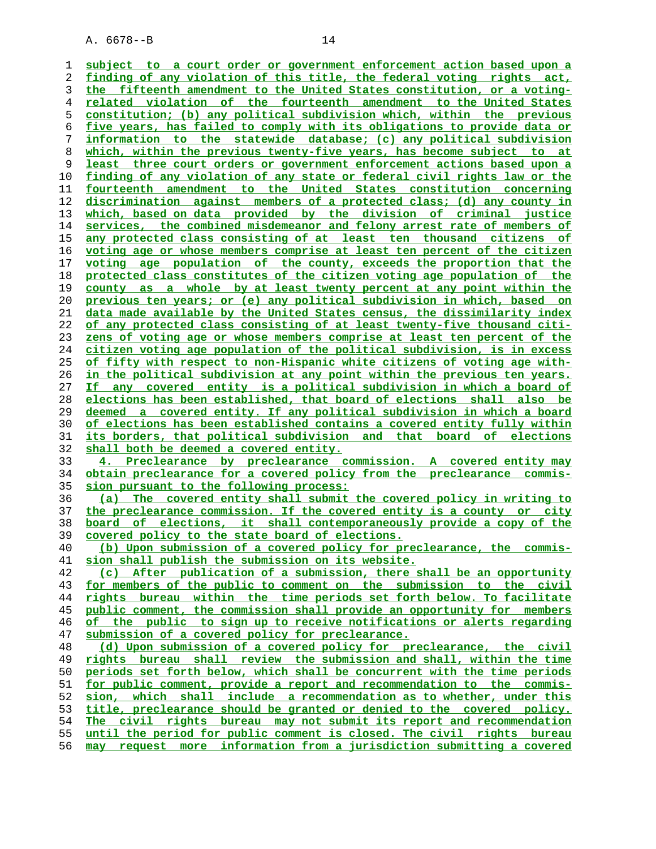**subject to a court order or government enforcement action based upon a finding of any violation of this title, the federal voting rights act, the fifteenth amendment to the United States constitution, or a voting- related violation of the fourteenth amendment to the United States constitution; (b) any political subdivision which, within the previous five years, has failed to comply with its obligations to provide data or information to the statewide database; (c) any political subdivision which, within the previous twenty-five years, has become subject to at least three court orders or government enforcement actions based upon a finding of any violation of any state or federal civil rights law or the fourteenth amendment to the United States constitution concerning discrimination against members of a protected class; (d) any county in which, based on data provided by the division of criminal justice services, the combined misdemeanor and felony arrest rate of members of any protected class consisting of at least ten thousand citizens of voting age or whose members comprise at least ten percent of the citizen voting age population of the county, exceeds the proportion that the protected class constitutes of the citizen voting age population of the county as a whole by at least twenty percent at any point within the previous ten years; or (e) any political subdivision in which, based on data made available by the United States census, the dissimilarity index of any protected class consisting of at least twenty-five thousand citi- zens of voting age or whose members comprise at least ten percent of the citizen voting age population of the political subdivision, is in excess of fifty with respect to non-Hispanic white citizens of voting age with- in the political subdivision at any point within the previous ten years. If any covered entity is a political subdivision in which a board of elections has been established, that board of elections shall also be deemed a covered entity. If any political subdivision in which a board of elections has been established contains a covered entity fully within its borders, that political subdivision and that board of elections shall both be deemed a covered entity. 4. Preclearance by preclearance commission. A covered entity may obtain preclearance for a covered policy from the preclearance commis- sion pursuant to the following process: (a) The covered entity shall submit the covered policy in writing to the preclearance commission. If the covered entity is a county or city board of elections, it shall contemporaneously provide a copy of the covered policy to the state board of elections. (b) Upon submission of a covered policy for preclearance, the commis- sion shall publish the submission on its website. (c) After publication of a submission, there shall be an opportunity for members of the public to comment on the submission to the civil rights bureau within the time periods set forth below. To facilitate public comment, the commission shall provide an opportunity for members of the public to sign up to receive notifications or alerts regarding submission of a covered policy for preclearance. (d) Upon submission of a covered policy for preclearance, the civil rights bureau shall review the submission and shall, within the time periods set forth below, which shall be concurrent with the time periods for public comment, provide a report and recommendation to the commis- sion, which shall include a recommendation as to whether, under this title, preclearance should be granted or denied to the covered policy. The civil rights bureau may not submit its report and recommendation until the period for public comment is closed. The civil rights bureau may request more information from a jurisdiction submitting a covered**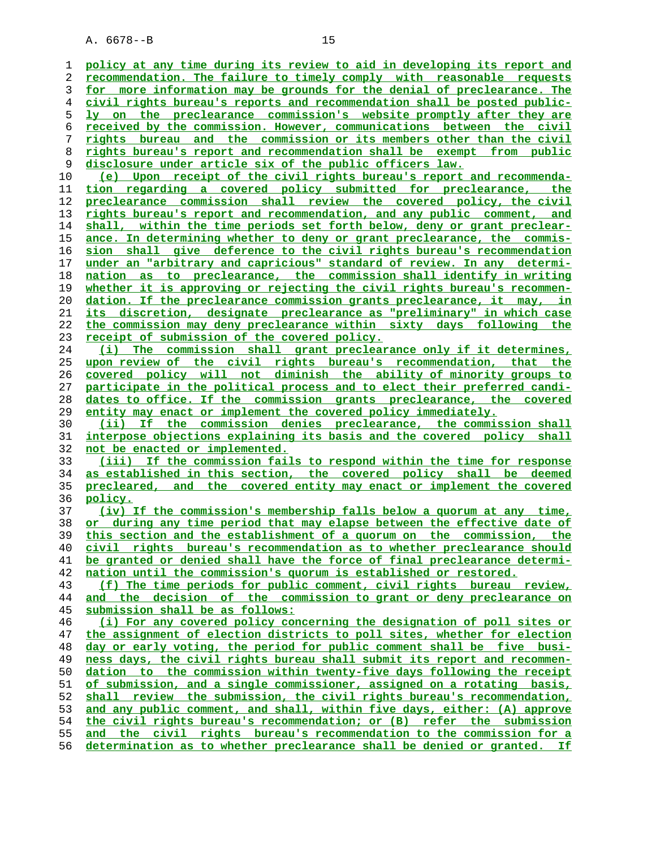**policy at any time during its review to aid in developing its report and recommendation. The failure to timely comply with reasonable requests for more information may be grounds for the denial of preclearance. The civil rights bureau's reports and recommendation shall be posted public- ly on the preclearance commission's website promptly after they are received by the commission. However, communications between the civil rights bureau and the commission or its members other than the civil rights bureau's report and recommendation shall be exempt from public disclosure under article six of the public officers law. (e) Upon receipt of the civil rights bureau's report and recommenda- tion regarding a covered policy submitted for preclearance, the preclearance commission shall review the covered policy, the civil rights bureau's report and recommendation, and any public comment, and shall, within the time periods set forth below, deny or grant preclear- ance. In determining whether to deny or grant preclearance, the commis- sion shall give deference to the civil rights bureau's recommendation under an "arbitrary and capricious" standard of review. In any determi- nation as to preclearance, the commission shall identify in writing whether it is approving or rejecting the civil rights bureau's recommen- dation. If the preclearance commission grants preclearance, it may, in its discretion, designate preclearance as "preliminary" in which case the commission may deny preclearance within sixty days following the receipt of submission of the covered policy. (i) The commission shall grant preclearance only if it determines, upon review of the civil rights bureau's recommendation, that the covered policy will not diminish the ability of minority groups to participate in the political process and to elect their preferred candi- dates to office. If the commission grants preclearance, the covered entity may enact or implement the covered policy immediately. (ii) If the commission denies preclearance, the commission shall interpose objections explaining its basis and the covered policy shall not be enacted or implemented. (iii) If the commission fails to respond within the time for response as established in this section, the covered policy shall be deemed precleared, and the covered entity may enact or implement the covered policy. (iv) If the commission's membership falls below a quorum at any time, or during any time period that may elapse between the effective date of this section and the establishment of a quorum on the commission, the civil rights bureau's recommendation as to whether preclearance should be granted or denied shall have the force of final preclearance determi- nation until the commission's quorum is established or restored. (f) The time periods for public comment, civil rights bureau review, and the decision of the commission to grant or deny preclearance on submission shall be as follows: (i) For any covered policy concerning the designation of poll sites or the assignment of election districts to poll sites, whether for election day or early voting, the period for public comment shall be five busi- ness days, the civil rights bureau shall submit its report and recommen- dation to the commission within twenty-five days following the receipt of submission, and a single commissioner, assigned on a rotating basis, shall review the submission, the civil rights bureau's recommendation, and any public comment, and shall, within five days, either: (A) approve the civil rights bureau's recommendation; or (B) refer the submission**

**and the civil rights bureau's recommendation to the commission for a**

**determination as to whether preclearance shall be denied or granted. If**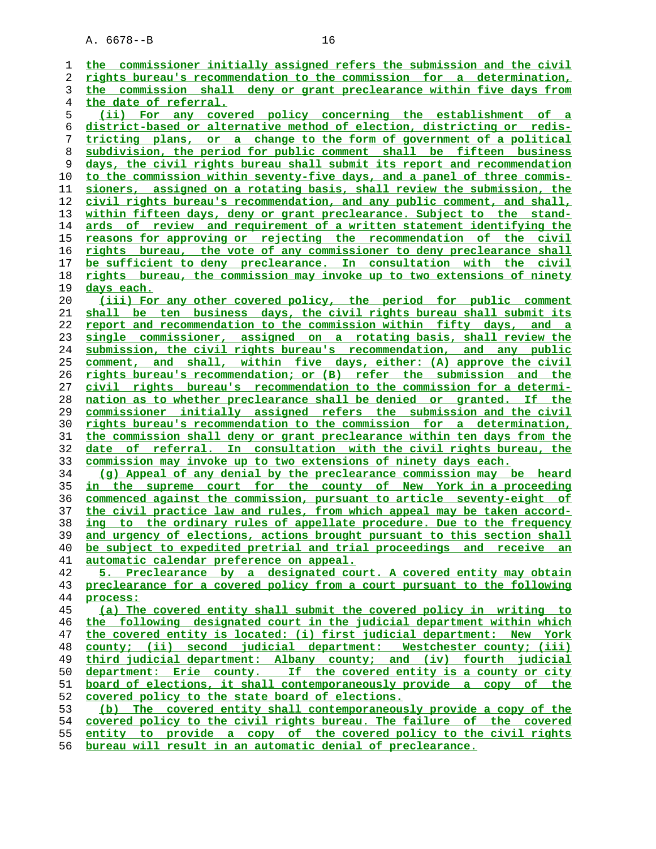**the commissioner initially assigned refers the submission and the civil rights bureau's recommendation to the commission for a determination, the commission shall deny or grant preclearance within five days from the date of referral. (ii) For any covered policy concerning the establishment of a district-based or alternative method of election, districting or redis- tricting plans, or a change to the form of government of a political subdivision, the period for public comment shall be fifteen business days, the civil rights bureau shall submit its report and recommendation to the commission within seventy-five days, and a panel of three commis- sioners, assigned on a rotating basis, shall review the submission, the civil rights bureau's recommendation, and any public comment, and shall, within fifteen days, deny or grant preclearance. Subject to the stand- ards of review and requirement of a written statement identifying the reasons for approving or rejecting the recommendation of the civil rights bureau, the vote of any commissioner to deny preclearance shall be sufficient to deny preclearance. In consultation with the civil rights bureau, the commission may invoke up to two extensions of ninety days each. (iii) For any other covered policy, the period for public comment shall be ten business days, the civil rights bureau shall submit its report and recommendation to the commission within fifty days, and a single commissioner, assigned on a rotating basis, shall review the submission, the civil rights bureau's recommendation, and any public comment, and shall, within five days, either: (A) approve the civil rights bureau's recommendation; or (B) refer the submission and the civil rights bureau's recommendation to the commission for a determi- nation as to whether preclearance shall be denied or granted. If the commissioner initially assigned refers the submission and the civil rights bureau's recommendation to the commission for a determination, the commission shall deny or grant preclearance within ten days from the date of referral. In consultation with the civil rights bureau, the commission may invoke up to two extensions of ninety days each. (g) Appeal of any denial by the preclearance commission may be heard in the supreme court for the county of New York in a proceeding commenced against the commission, pursuant to article seventy-eight of the civil practice law and rules, from which appeal may be taken accord- ing to the ordinary rules of appellate procedure. Due to the frequency and urgency of elections, actions brought pursuant to this section shall be subject to expedited pretrial and trial proceedings and receive an automatic calendar preference on appeal. 5. Preclearance by a designated court. A covered entity may obtain preclearance for a covered policy from a court pursuant to the following process: (a) The covered entity shall submit the covered policy in writing to the following designated court in the judicial department within which the covered entity is located: (i) first judicial department: New York county; (ii) second judicial department: Westchester county; (iii) third judicial department: Albany county; and (iv) fourth judicial department: Erie county. If the covered entity is a county or city board of elections, it shall contemporaneously provide a copy of the covered policy to the state board of elections. (b) The covered entity shall contemporaneously provide a copy of the covered policy to the civil rights bureau. The failure of the covered entity to provide a copy of the covered policy to the civil rights**

**bureau will result in an automatic denial of preclearance.**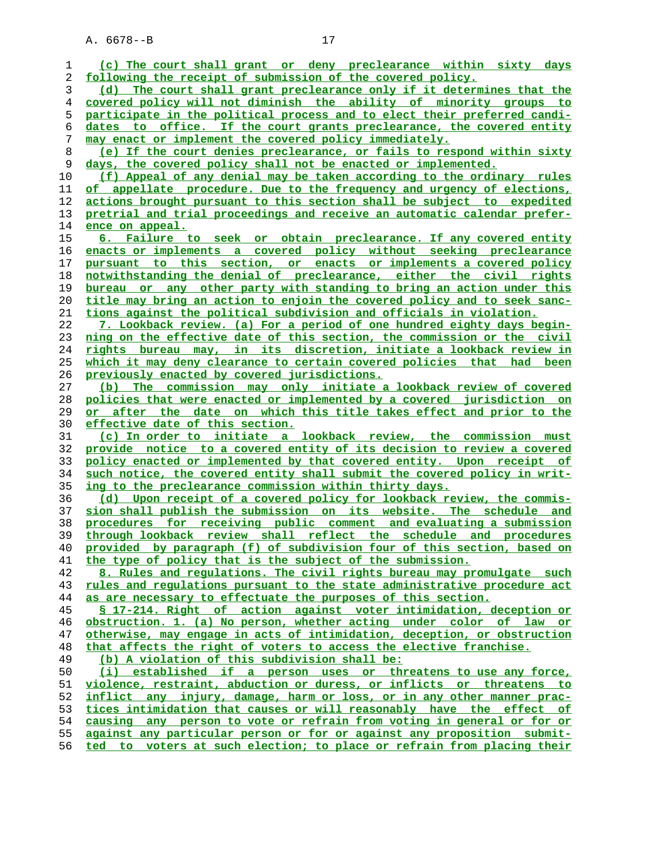| ı              | (c) The court shall grant or deny preclearance within sixty days           |
|----------------|----------------------------------------------------------------------------|
| 2              | following the receipt of submission of the covered policy.                 |
| 3              | (d) The court shall grant preclearance only if it determines that the      |
| $\overline{4}$ | covered policy will not diminish the ability of minority groups to         |
| 5              | participate in the political process and to elect their preferred candi-   |
| 6              | dates to office. If the court grants preclearance, the covered entity      |
| 7              | may enact or implement the covered policy immediately.                     |
| 8              | (e) If the court denies preclearance, or fails to respond within sixty     |
|                | days, the covered policy shall not be enacted or implemented.              |
| 9              |                                                                            |
| 10             | (f) Appeal of any denial may be taken according to the ordinary rules      |
| 11             | of appellate procedure. Due to the frequency and urgency of elections,     |
| 12             | actions brought pursuant to this section shall be subject to expedited     |
| 13             | pretrial and trial proceedings and receive an automatic calendar prefer-   |
| 14             | ence on appeal.                                                            |
| 15             | 6. Failure to seek or obtain preclearance. If any covered entity           |
| 16             | enacts or implements a covered policy without seeking preclearance         |
| 17             | pursuant to this section, or enacts or implements a covered policy         |
| 18             | notwithstanding the denial of preclearance, either the civil rights        |
| 19             | bureau or any other party with standing to bring an action under this      |
| 20             | title may bring an action to enjoin the covered policy and to seek sanc-   |
| 21             | tions against the political subdivision and officials in violation.        |
| 22             | 7. Lookback review. (a) For a period of one hundred eighty days begin-     |
| 23             | ning on the effective date of this section, the commission or the civil    |
| 24             | <u>rights bureau may, in its discretion, initiate a lookback review in</u> |
| 25             | which it may deny clearance to certain covered policies that had been      |
| 26             | previously enacted by covered jurisdictions.                               |
| 27             | (b) The commission may only initiate a lookback review of covered          |
| 28             | policies that were enacted or implemented by a covered jurisdiction on     |
| 29             | or after the date on which this title takes effect and prior to the        |
| 30             | effective date of this section.                                            |
| 31             | (c) In order to initiate a lookback review, the commission must            |
| 32             | provide notice to a covered entity of its decision to review a covered     |
| 33             | policy enacted or implemented by that covered entity. Upon receipt of      |
| 34             | such notice, the covered entity shall submit the covered policy in writ-   |
| 35             | ing to the preclearance commission within thirty days.                     |
| 36             | (d) Upon receipt of a covered policy for lookback review, the commis-      |
| 37             | sion shall publish the submission on its website. The schedule and         |
| 38             | procedures for receiving public comment and evaluating a submission        |
| 39             | through lookback review shall reflect the schedule and procedures          |
| 40             | provided by paragraph (f) of subdivision four of this section, based on    |
| 41             | the type of policy that is the subject of the submission.                  |
| 42             | 8. Rules and regulations. The civil rights bureau may promulgate such      |
|                |                                                                            |
| 43             | rules and regulations pursuant to the state administrative procedure act   |
| 44             | as are necessary to effectuate the purposes of this section.               |
| 45             | \$ 17-214. Right of action against voter intimidation, deception or        |
| 46             | obstruction. 1. (a) No person, whether acting under color of law or        |
| 47             | otherwise, may engage in acts of intimidation, deception, or obstruction   |
| 48             | that affects the right of voters to access the elective franchise.         |
| 49             | (b) A violation of this subdivision shall be:                              |
| 50             | (i) established if a person uses or threatens to use any force,            |
| 51             | violence, restraint, abduction or duress, or inflicts or threatens to      |
| 52             | inflict any injury, damage, harm or loss, or in any other manner prac-     |
| 53             | tices intimidation that causes or will reasonably have the effect of       |
| 54             | causing any person to vote or refrain from voting in general or for or     |
| 55             | against any particular person or for or against any proposition submit-    |
| 56             | ted to voters at such election; to place or refrain from placing their     |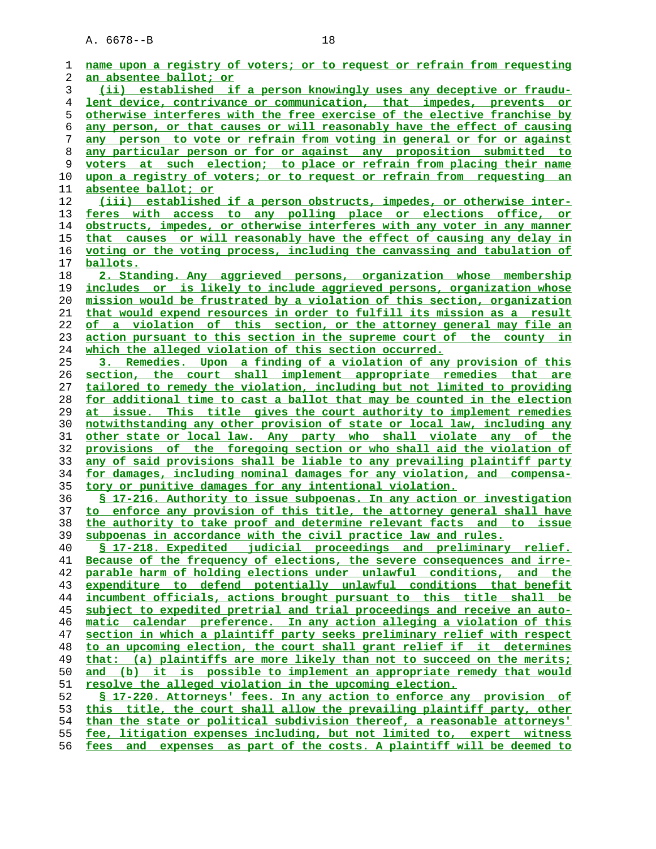**name upon a registry of voters; or to request or refrain from requesting an absentee ballot; or (ii) established if a person knowingly uses any deceptive or fraudu- lent device, contrivance or communication, that impedes, prevents or otherwise interferes with the free exercise of the elective franchise by any person, or that causes or will reasonably have the effect of causing any person to vote or refrain from voting in general or for or against any particular person or for or against any proposition submitted to voters at such election; to place or refrain from placing their name upon a registry of voters; or to request or refrain from requesting an absentee ballot; or (iii) established if a person obstructs, impedes, or otherwise inter- feres with access to any polling place or elections office, or obstructs, impedes, or otherwise interferes with any voter in any manner that causes or will reasonably have the effect of causing any delay in voting or the voting process, including the canvassing and tabulation of ballots. 2. Standing. Any aggrieved persons, organization whose membership includes or is likely to include aggrieved persons, organization whose mission would be frustrated by a violation of this section, organization that would expend resources in order to fulfill its mission as a result of a violation of this section, or the attorney general may file an action pursuant to this section in the supreme court of the county in which the alleged violation of this section occurred. 3. Remedies. Upon a finding of a violation of any provision of this section, the court shall implement appropriate remedies that are tailored to remedy the violation, including but not limited to providing for additional time to cast a ballot that may be counted in the election at issue. This title gives the court authority to implement remedies notwithstanding any other provision of state or local law, including any other state or local law. Any party who shall violate any of the provisions of the foregoing section or who shall aid the violation of any of said provisions shall be liable to any prevailing plaintiff party for damages, including nominal damages for any violation, and compensa- tory or punitive damages for any intentional violation. § 17-216. Authority to issue subpoenas. In any action or investigation to enforce any provision of this title, the attorney general shall have the authority to take proof and determine relevant facts and to issue subpoenas in accordance with the civil practice law and rules. § 17-218. Expedited judicial proceedings and preliminary relief. Because of the frequency of elections, the severe consequences and irre- parable harm of holding elections under unlawful conditions, and the expenditure to defend potentially unlawful conditions that benefit incumbent officials, actions brought pursuant to this title shall be subject to expedited pretrial and trial proceedings and receive an auto- matic calendar preference. In any action alleging a violation of this section in which a plaintiff party seeks preliminary relief with respect to an upcoming election, the court shall grant relief if it determines that: (a) plaintiffs are more likely than not to succeed on the merits;** and (b) it is possible to implement an appropriate remedy that would **resolve the alleged violation in the upcoming election. § 17-220. Attorneys' fees. In any action to enforce any provision of this title, the court shall allow the prevailing plaintiff party, other than the state or political subdivision thereof, a reasonable attorneys' fee, litigation expenses including, but not limited to, expert witness fees and expenses as part of the costs. A plaintiff will be deemed to**